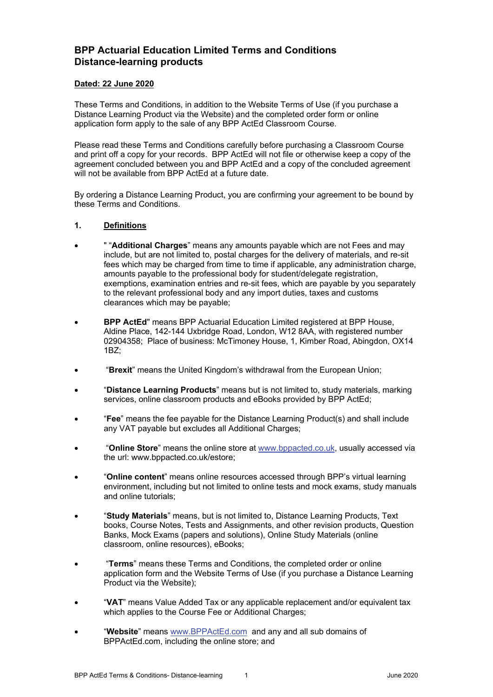# **BPP Actuarial Education Limited Terms and Conditions Distance-learning products**

#### **Dated: 22 June 2020**

These Terms and Conditions, in addition to the Website Terms of Use (if you purchase a Distance Learning Product via the Website) and the completed order form or online application form apply to the sale of any BPP ActEd Classroom Course.

Please read these Terms and Conditions carefully before purchasing a Classroom Course and print off a copy for your records. BPP ActEd will not file or otherwise keep a copy of the agreement concluded between you and BPP ActEd and a copy of the concluded agreement will not be available from BPP ActEd at a future date.

By ordering a Distance Learning Product, you are confirming your agreement to be bound by these Terms and Conditions.

#### **1. Definitions**

- " "**Additional Charges**" means any amounts payable which are not Fees and may include, but are not limited to, postal charges for the delivery of materials, and re-sit fees which may be charged from time to time if applicable, any administration charge, amounts payable to the professional body for student/delegate registration, exemptions, examination entries and re-sit fees, which are payable by you separately to the relevant professional body and any import duties, taxes and customs clearances which may be payable;
- **BPP ActEd**" means BPP Actuarial Education Limited registered at BPP House, Aldine Place, 142-144 Uxbridge Road, London, W12 8AA, with registered number 02904358; Place of business: McTimoney House, 1, Kimber Road, Abingdon, OX14 1BZ;
- "**Brexit**" means the United Kingdom's withdrawal from the European Union;
- "**Distance Learning Products**" means but is not limited to, study materials, marking services, online classroom products and eBooks provided by BPP ActEd;
- "**Fee**" means the fee payable for the Distance Learning Product(s) and shall include any VAT payable but excludes all Additional Charges;
- "**Online Store**" means the online store at www.bppacted.co.uk, usually accessed via the url: www.bppacted.co.uk/estore;
- "**Online content**" means online resources accessed through BPP's virtual learning environment, including but not limited to online tests and mock exams, study manuals and online tutorials;
- "**Study Materials**" means, but is not limited to, Distance Learning Products, Text books, Course Notes, Tests and Assignments, and other revision products, Question Banks, Mock Exams (papers and solutions), Online Study Materials (online classroom, online resources), eBooks;
- "**Terms**" means these Terms and Conditions, the completed order or online application form and the Website Terms of Use (if you purchase a Distance Learning Product via the Website);
- "**VAT**" means Value Added Tax or any applicable replacement and/or equivalent tax which applies to the Course Fee or Additional Charges;
- "**Website**" means www.BPPActEd.com and any and all sub domains of BPPActEd.com, including the online store; and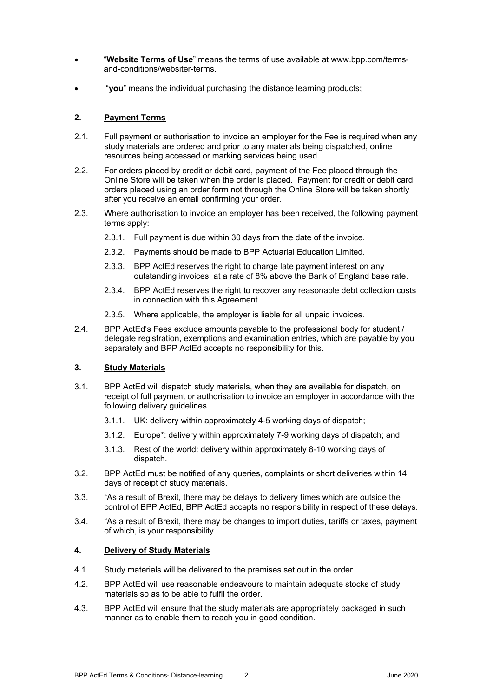- "**Website Terms of Use**" means the terms of use available at www.bpp.com/termsand-conditions/websiter-terms.
- "**you**" means the individual purchasing the distance learning products;

## **2. Payment Terms**

- 2.1. Full payment or authorisation to invoice an employer for the Fee is required when any study materials are ordered and prior to any materials being dispatched, online resources being accessed or marking services being used.
- 2.2. For orders placed by credit or debit card, payment of the Fee placed through the Online Store will be taken when the order is placed. Payment for credit or debit card orders placed using an order form not through the Online Store will be taken shortly after you receive an email confirming your order.
- 2.3. Where authorisation to invoice an employer has been received, the following payment terms apply:
	- 2.3.1. Full payment is due within 30 days from the date of the invoice.
	- 2.3.2. Payments should be made to BPP Actuarial Education Limited.
	- 2.3.3. BPP ActEd reserves the right to charge late payment interest on any outstanding invoices, at a rate of 8% above the Bank of England base rate.
	- 2.3.4. BPP ActEd reserves the right to recover any reasonable debt collection costs in connection with this Agreement.
	- 2.3.5. Where applicable, the employer is liable for all unpaid invoices.
- 2.4. BPP ActEd's Fees exclude amounts payable to the professional body for student / delegate registration, exemptions and examination entries, which are payable by you separately and BPP ActEd accepts no responsibility for this.

#### **3. Study Materials**

- 3.1. BPP ActEd will dispatch study materials, when they are available for dispatch, on receipt of full payment or authorisation to invoice an employer in accordance with the following delivery guidelines.
	- 3.1.1. UK: delivery within approximately 4-5 working days of dispatch;
	- 3.1.2. Europe\*: delivery within approximately 7-9 working days of dispatch; and
	- 3.1.3. Rest of the world: delivery within approximately 8-10 working days of dispatch.
- 3.2. BPP ActEd must be notified of any queries, complaints or short deliveries within 14 days of receipt of study materials.
- 3.3. "As a result of Brexit, there may be delays to delivery times which are outside the control of BPP ActEd, BPP ActEd accepts no responsibility in respect of these delays.
- 3.4. "As a result of Brexit, there may be changes to import duties, tariffs or taxes, payment of which, is your responsibility.

#### **4. Delivery of Study Materials**

- 4.1. Study materials will be delivered to the premises set out in the order.
- 4.2. BPP ActEd will use reasonable endeavours to maintain adequate stocks of study materials so as to be able to fulfil the order.
- 4.3. BPP ActEd will ensure that the study materials are appropriately packaged in such manner as to enable them to reach you in good condition.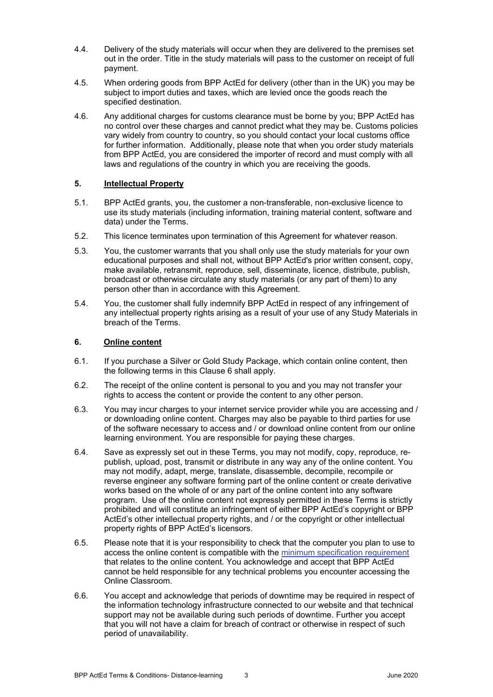- 4.4. Delivery of the study materials will occur when they are delivered to the premises set out in the order. Title in the study materials will pass to the customer on receipt of full payment.
- 4.5. When ordering goods from BPP ActEd for delivery (other than in the UK) you may be subject to import duties and taxes, which are levied once the goods reach the specified destination.
- 4.6. Any additional charges for customs clearance must be borne by you; BPP ActEd has no control over these charges and cannot predict what they may be. Customs policies vary widely from country to country, so you should contact your local customs office for further information. Additionally, please note that when you order study materials from BPP ActEd, you are considered the importer of record and must comply with all laws and regulations of the country in which you are receiving the goods.

#### **5. Intellectual Property**

- 5.1. BPP ActEd grants, you, the customer a non-transferable, non-exclusive licence to use its study materials (including information, training material content, software and data) under the Terms.
- 5.2. This licence terminates upon termination of this Agreement for whatever reason.
- 5.3. You, the customer warrants that you shall only use the study materials for your own educational purposes and shall not, without BPP ActEd's prior written consent, copy, make available, retransmit, reproduce, sell, disseminate, licence, distribute, publish, broadcast or otherwise circulate any study materials (or any part of them) to any person other than in accordance with this Agreement.
- 5.4. You, the customer shall fully indemnify BPP ActEd in respect of any infringement of any intellectual property rights arising as a result of your use of any Study Materials in breach of the Terms.

# **6. Online content**

- 6.1. If you purchase a Silver or Gold Study Package, which contain online content, then the following terms in this Clause 6 shall apply.
- 6.2. The receipt of the online content is personal to you and you may not transfer your rights to access the content or provide the content to any other person.
- 6.3. You may incur charges to your internet service provider while you are accessing and / or downloading online content. Charges may also be payable to third parties for use of the software necessary to access and / or download online content from our online learning environment. You are responsible for paying these charges.
- 6.4. Save as expressly set out in these Terms, you may not modify, copy, reproduce, republish, upload, post, transmit or distribute in any way any of the online content. You may not modify, adapt, merge, translate, disassemble, decompile, recompile or reverse engineer any software forming part of the online content or create derivative works based on the whole of or any part of the online content into any software program. Use of the online content not expressly permitted in these Terms is strictly prohibited and will constitute an infringement of either BPP ActEd's copyright or BPP ActEd's other intellectual property rights, and / or the copyright or other intellectual property rights of BPP ActEd's licensors.
- 6.5. Please note that it is your responsibility to check that the computer you plan to use to access the online content is compatible with the minimum specification requirement that relates to the online content. You acknowledge and accept that BPP ActEd cannot be held responsible for any technical problems you encounter accessing the Online Classroom.
- 6.6. You accept and acknowledge that periods of downtime may be required in respect of the information technology infrastructure connected to our website and that technical support may not be available during such periods of downtime. Further you accept that you will not have a claim for breach of contract or otherwise in respect of such period of unavailability.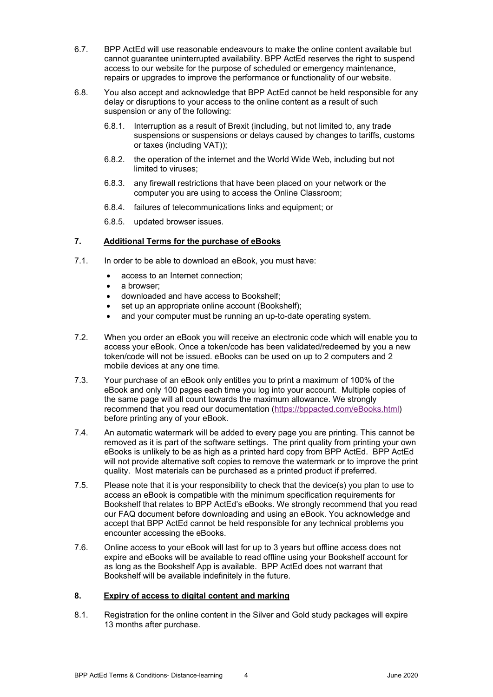- 6.7. BPP ActEd will use reasonable endeavours to make the online content available but cannot guarantee uninterrupted availability. BPP ActEd reserves the right to suspend access to our website for the purpose of scheduled or emergency maintenance, repairs or upgrades to improve the performance or functionality of our website.
- 6.8. You also accept and acknowledge that BPP ActEd cannot be held responsible for any delay or disruptions to your access to the online content as a result of such suspension or any of the following:
	- 6.8.1. Interruption as a result of Brexit (including, but not limited to, any trade suspensions or suspensions or delays caused by changes to tariffs, customs or taxes (including VAT));
	- 6.8.2. the operation of the internet and the World Wide Web, including but not limited to viruses;
	- 6.8.3. any firewall restrictions that have been placed on your network or the computer you are using to access the Online Classroom;
	- 6.8.4. failures of telecommunications links and equipment; or
	- 6.8.5. updated browser issues.

# **7. Additional Terms for the purchase of eBooks**

- 7.1. In order to be able to download an eBook, you must have:
	- access to an Internet connection;
	- a browser;
	- downloaded and have access to Bookshelf;
	- set up an appropriate online account (Bookshelf);
	- and your computer must be running an up-to-date operating system.
- 7.2. When you order an eBook you will receive an electronic code which will enable you to access your eBook. Once a token/code has been validated/redeemed by you a new token/code will not be issued. eBooks can be used on up to 2 computers and 2 mobile devices at any one time.
- 7.3. Your purchase of an eBook only entitles you to print a maximum of 100% of the eBook and only 100 pages each time you log into your account. Multiple copies of the same page will all count towards the maximum allowance. We strongly recommend that you read our documentation (https://bppacted.com/eBooks.html) before printing any of your eBook.
- 7.4. An automatic watermark will be added to every page you are printing. This cannot be removed as it is part of the software settings. The print quality from printing your own eBooks is unlikely to be as high as a printed hard copy from BPP ActEd. BPP ActEd will not provide alternative soft copies to remove the watermark or to improve the print quality. Most materials can be purchased as a printed product if preferred.
- 7.5. Please note that it is your responsibility to check that the device(s) you plan to use to access an eBook is compatible with the minimum specification requirements for Bookshelf that relates to BPP ActEd's eBooks. We strongly recommend that you read our FAQ document before downloading and using an eBook. You acknowledge and accept that BPP ActEd cannot be held responsible for any technical problems you encounter accessing the eBooks.
- 7.6. Online access to your eBook will last for up to 3 years but offline access does not expire and eBooks will be available to read offline using your Bookshelf account for as long as the Bookshelf App is available. BPP ActEd does not warrant that Bookshelf will be available indefinitely in the future.

#### **8. Expiry of access to digital content and marking**

8.1. Registration for the online content in the Silver and Gold study packages will expire 13 months after purchase.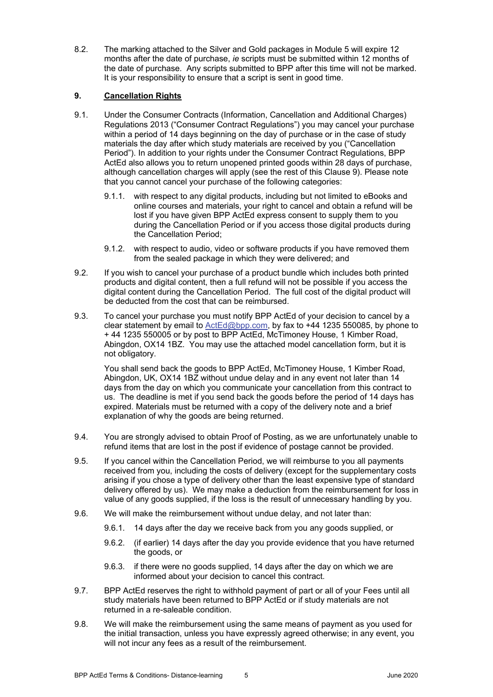8.2. The marking attached to the Silver and Gold packages in Module 5 will expire 12 months after the date of purchase, *ie* scripts must be submitted within 12 months of the date of purchase. Any scripts submitted to BPP after this time will not be marked. It is your responsibility to ensure that a script is sent in good time.

# **9. Cancellation Rights**

- 9.1. Under the Consumer Contracts (Information, Cancellation and Additional Charges) Regulations 2013 ("Consumer Contract Regulations") you may cancel your purchase within a period of 14 days beginning on the day of purchase or in the case of study materials the day after which study materials are received by you ("Cancellation Period"). In addition to your rights under the Consumer Contract Regulations, BPP ActEd also allows you to return unopened printed goods within 28 days of purchase, although cancellation charges will apply (see the rest of this Clause 9). Please note that you cannot cancel your purchase of the following categories:
	- 9.1.1. with respect to any digital products, including but not limited to eBooks and online courses and materials, your right to cancel and obtain a refund will be lost if you have given BPP ActEd express consent to supply them to you during the Cancellation Period or if you access those digital products during the Cancellation Period;
	- 9.1.2. with respect to audio, video or software products if you have removed them from the sealed package in which they were delivered; and
- 9.2. If you wish to cancel your purchase of a product bundle which includes both printed products and digital content, then a full refund will not be possible if you access the digital content during the Cancellation Period. The full cost of the digital product will be deducted from the cost that can be reimbursed.
- 9.3. To cancel your purchase you must notify BPP ActEd of your decision to cancel by a clear statement by email to ActEd@bpp.com, by fax to +44 1235 550085, by phone to + 44 1235 550005 or by post to BPP ActEd, McTimoney House, 1 Kimber Road, Abingdon, OX14 1BZ. You may use the attached model cancellation form, but it is not obligatory.

You shall send back the goods to BPP ActEd, McTimoney House, 1 Kimber Road, Abingdon, UK, OX14 1BZ without undue delay and in any event not later than 14 days from the day on which you communicate your cancellation from this contract to us. The deadline is met if you send back the goods before the period of 14 days has expired. Materials must be returned with a copy of the delivery note and a brief explanation of why the goods are being returned.

- 9.4. You are strongly advised to obtain Proof of Posting, as we are unfortunately unable to refund items that are lost in the post if evidence of postage cannot be provided.
- 9.5. If you cancel within the Cancellation Period, we will reimburse to you all payments received from you, including the costs of delivery (except for the supplementary costs arising if you chose a type of delivery other than the least expensive type of standard delivery offered by us). We may make a deduction from the reimbursement for loss in value of any goods supplied, if the loss is the result of unnecessary handling by you.
- 9.6. We will make the reimbursement without undue delay, and not later than:
	- 9.6.1. 14 days after the day we receive back from you any goods supplied, or
	- 9.6.2. (if earlier) 14 days after the day you provide evidence that you have returned the goods, or
	- 9.6.3. if there were no goods supplied, 14 days after the day on which we are informed about your decision to cancel this contract.
- 9.7. BPP ActEd reserves the right to withhold payment of part or all of your Fees until all study materials have been returned to BPP ActEd or if study materials are not returned in a re-saleable condition.
- 9.8. We will make the reimbursement using the same means of payment as you used for the initial transaction, unless you have expressly agreed otherwise; in any event, you will not incur any fees as a result of the reimbursement.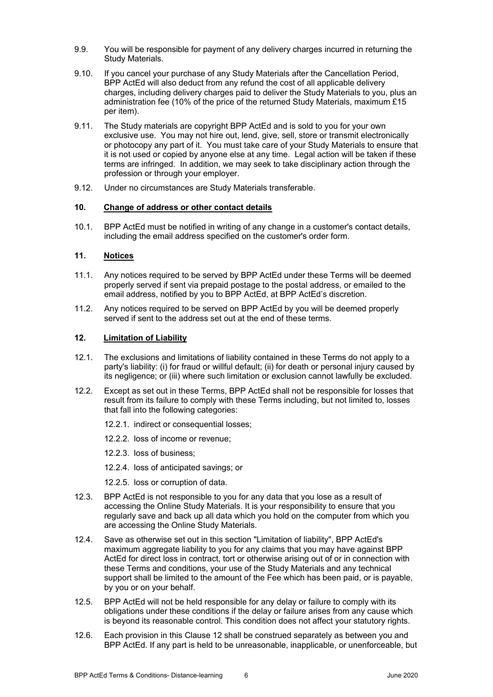- 9.9. You will be responsible for payment of any delivery charges incurred in returning the Study Materials.
- 9.10. If you cancel your purchase of any Study Materials after the Cancellation Period, BPP ActEd will also deduct from any refund the cost of all applicable delivery charges, including delivery charges paid to deliver the Study Materials to you, plus an administration fee (10% of the price of the returned Study Materials, maximum £15 per item).
- 9.11. The Study materials are copyright BPP ActEd and is sold to you for your own exclusive use. You may not hire out, lend, give, sell, store or transmit electronically or photocopy any part of it. You must take care of your Study Materials to ensure that it is not used or copied by anyone else at any time. Legal action will be taken if these terms are infringed. In addition, we may seek to take disciplinary action through the profession or through your employer.
- 9.12. Under no circumstances are Study Materials transferable.

# **10. Change of address or other contact details**

10.1. BPP ActEd must be notified in writing of any change in a customer's contact details, including the email address specified on the customer's order form.

#### **11. Notices**

- 11.1. Any notices required to be served by BPP ActEd under these Terms will be deemed properly served if sent via prepaid postage to the postal address, or emailed to the email address, notified by you to BPP ActEd, at BPP ActEd's discretion.
- 11.2. Any notices required to be served on BPP ActEd by you will be deemed properly served if sent to the address set out at the end of these terms.

#### **12. Limitation of Liability**

- 12.1. The exclusions and limitations of liability contained in these Terms do not apply to a party's liability: (i) for fraud or willful default; (ii) for death or personal injury caused by its negligence; or (iii) where such limitation or exclusion cannot lawfully be excluded.
- 12.2. Except as set out in these Terms, BPP ActEd shall not be responsible for losses that result from its failure to comply with these Terms including, but not limited to, losses that fall into the following categories:
	- 12.2.1. indirect or consequential losses;
	- 12.2.2. loss of income or revenue;
	- 12.2.3. loss of business;
	- 12.2.4. loss of anticipated savings; or
	- 12.2.5. loss or corruption of data.
- 12.3. BPP ActEd is not responsible to you for any data that you lose as a result of accessing the Online Study Materials. It is your responsibility to ensure that you regularly save and back up all data which you hold on the computer from which you are accessing the Online Study Materials.
- 12.4. Save as otherwise set out in this section "Limitation of liability", BPP ActEd's maximum aggregate liability to you for any claims that you may have against BPP ActEd for direct loss in contract, tort or otherwise arising out of or in connection with these Terms and conditions, your use of the Study Materials and any technical support shall be limited to the amount of the Fee which has been paid, or is payable, by you or on your behalf.
- 12.5. BPP ActEd will not be held responsible for any delay or failure to comply with its obligations under these conditions if the delay or failure arises from any cause which is beyond its reasonable control. This condition does not affect your statutory rights.
- 12.6. Each provision in this Clause 12 shall be construed separately as between you and BPP ActEd. If any part is held to be unreasonable, inapplicable, or unenforceable, but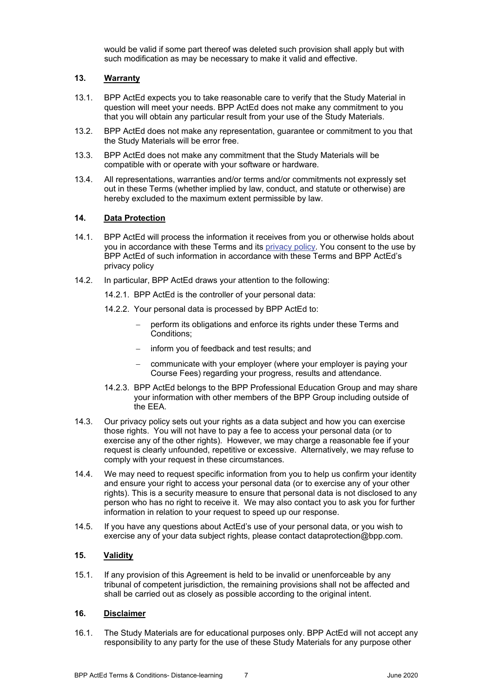would be valid if some part thereof was deleted such provision shall apply but with such modification as may be necessary to make it valid and effective.

# **13. Warranty**

- 13.1. BPP ActEd expects you to take reasonable care to verify that the Study Material in question will meet your needs. BPP ActEd does not make any commitment to you that you will obtain any particular result from your use of the Study Materials.
- 13.2. BPP ActEd does not make any representation, guarantee or commitment to you that the Study Materials will be error free.
- 13.3. BPP ActEd does not make any commitment that the Study Materials will be compatible with or operate with your software or hardware.
- 13.4. All representations, warranties and/or terms and/or commitments not expressly set out in these Terms (whether implied by law, conduct, and statute or otherwise) are hereby excluded to the maximum extent permissible by law.

## **14. Data Protection**

- 14.1. BPP ActEd will process the information it receives from you or otherwise holds about you in accordance with these Terms and its privacy policy. You consent to the use by BPP ActEd of such information in accordance with these Terms and BPP ActEd's privacy policy
- 14.2. In particular, BPP ActEd draws your attention to the following:
	- 14.2.1. BPP ActEd is the controller of your personal data:
	- 14.2.2. Your personal data is processed by BPP ActEd to:
		- perform its obligations and enforce its rights under these Terms and Conditions;
		- inform you of feedback and test results; and
		- communicate with your employer (where your employer is paying your Course Fees) regarding your progress, results and attendance.
	- 14.2.3. BPP ActEd belongs to the BPP Professional Education Group and may share your information with other members of the BPP Group including outside of the EEA.
- 14.3. Our privacy policy sets out your rights as a data subject and how you can exercise those rights. You will not have to pay a fee to access your personal data (or to exercise any of the other rights). However, we may charge a reasonable fee if your request is clearly unfounded, repetitive or excessive. Alternatively, we may refuse to comply with your request in these circumstances.
- 14.4. We may need to request specific information from you to help us confirm your identity and ensure your right to access your personal data (or to exercise any of your other rights). This is a security measure to ensure that personal data is not disclosed to any person who has no right to receive it. We may also contact you to ask you for further information in relation to your request to speed up our response.
- 14.5. If you have any questions about ActEd's use of your personal data, or you wish to exercise any of your data subject rights, please contact dataprotection@bpp.com.

# **15. Validity**

15.1. If any provision of this Agreement is held to be invalid or unenforceable by any tribunal of competent jurisdiction, the remaining provisions shall not be affected and shall be carried out as closely as possible according to the original intent.

#### **16. Disclaimer**

16.1. The Study Materials are for educational purposes only. BPP ActEd will not accept any responsibility to any party for the use of these Study Materials for any purpose other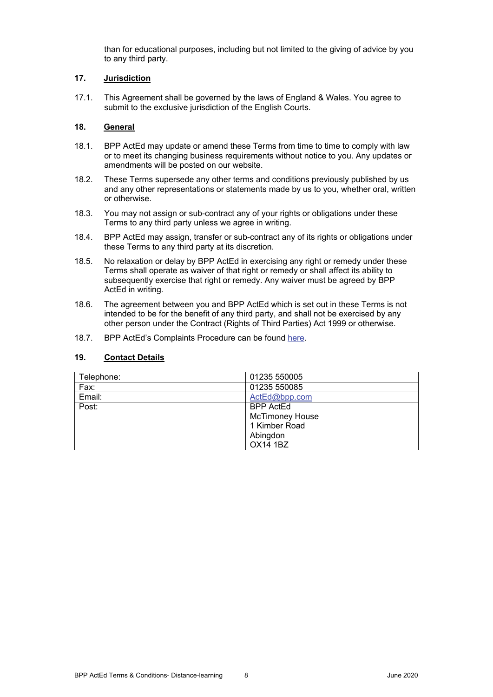than for educational purposes, including but not limited to the giving of advice by you to any third party.

# **17. Jurisdiction**

17.1. This Agreement shall be governed by the laws of England & Wales. You agree to submit to the exclusive jurisdiction of the English Courts.

# **18. General**

- 18.1. BPP ActEd may update or amend these Terms from time to time to comply with law or to meet its changing business requirements without notice to you. Any updates or amendments will be posted on our website.
- 18.2. These Terms supersede any other terms and conditions previously published by us and any other representations or statements made by us to you, whether oral, written or otherwise.
- 18.3. You may not assign or sub-contract any of your rights or obligations under these Terms to any third party unless we agree in writing.
- 18.4. BPP ActEd may assign, transfer or sub-contract any of its rights or obligations under these Terms to any third party at its discretion.
- 18.5. No relaxation or delay by BPP ActEd in exercising any right or remedy under these Terms shall operate as waiver of that right or remedy or shall affect its ability to subsequently exercise that right or remedy. Any waiver must be agreed by BPP ActEd in writing.
- 18.6. The agreement between you and BPP ActEd which is set out in these Terms is not intended to be for the benefit of any third party, and shall not be exercised by any other person under the Contract (Rights of Third Parties) Act 1999 or otherwise.
- 18.7. BPP ActEd's Complaints Procedure can be found here.

# **19. Contact Details**

| Telephone: | 01235 550005           |
|------------|------------------------|
| Fax:       | 01235 550085           |
| Email:     | ActEd@bpp.com          |
| Post:      | <b>BPP ActEd</b>       |
|            | <b>McTimoney House</b> |
|            | 1 Kimber Road          |
|            | Abingdon               |
|            | <b>OX14 1BZ</b>        |